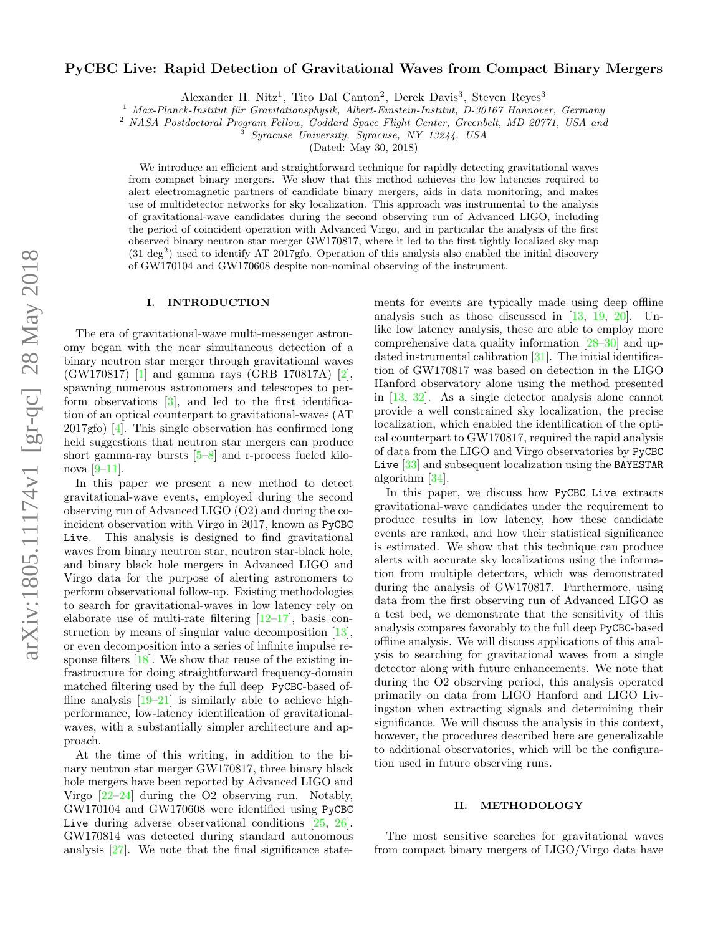# arXiv:1805.11174v1 [gr-qc] 28 May 2018 arXiv:1805.11174v1 [gr-qc] 28 May 2018

# PyCBC Live: Rapid Detection of Gravitational Waves from Compact Binary Mergers

Alexander H. Nitz<sup>1</sup>, Tito Dal Canton<sup>2</sup>, Derek Davis<sup>3</sup>, Steven Reyes<sup>3</sup>

 $1$  Max-Planck-Institut für Gravitationsphysik, Albert-Einstein-Institut, D-30167 Hannover, Germany

<sup>2</sup> NASA Postdoctoral Program Fellow, Goddard Space Flight Center, Greenbelt, MD 20771, USA and

<sup>3</sup> Syracuse University, Syracuse, NY 13244, USA

(Dated: May 30, 2018)

We introduce an efficient and straightforward technique for rapidly detecting gravitational waves from compact binary mergers. We show that this method achieves the low latencies required to alert electromagnetic partners of candidate binary mergers, aids in data monitoring, and makes use of multidetector networks for sky localization. This approach was instrumental to the analysis of gravitational-wave candidates during the second observing run of Advanced LIGO, including the period of coincident operation with Advanced Virgo, and in particular the analysis of the first observed binary neutron star merger GW170817, where it led to the first tightly localized sky map  $(31 \text{ deg}^2)$  used to identify AT 2017gfo. Operation of this analysis also enabled the initial discovery of GW170104 and GW170608 despite non-nominal observing of the instrument.

### I. INTRODUCTION

The era of gravitational-wave multi-messenger astronomy began with the near simultaneous detection of a binary neutron star merger through gravitational waves (GW170817) [\[1\]](#page-8-0) and gamma rays (GRB 170817A) [\[2\]](#page-8-1), spawning numerous astronomers and telescopes to perform observations  $[3]$ , and led to the first identification of an optical counterpart to gravitational-waves (AT 2017gfo) [\[4\]](#page-8-3). This single observation has confirmed long held suggestions that neutron star mergers can produce short gamma-ray bursts  $[5-8]$  $[5-8]$  and r-process fueled kilonova  $[9-11]$  $[9-11]$ .

In this paper we present a new method to detect gravitational-wave events, employed during the second observing run of Advanced LIGO (O2) and during the coincident observation with Virgo in 2017, known as PyCBC Live. This analysis is designed to find gravitational waves from binary neutron star, neutron star-black hole, and binary black hole mergers in Advanced LIGO and Virgo data for the purpose of alerting astronomers to perform observational follow-up. Existing methodologies to search for gravitational-waves in low latency rely on elaborate use of multi-rate filtering  $[12-17]$  $[12-17]$ , basis construction by means of singular value decomposition [\[13\]](#page-8-10), or even decomposition into a series of infinite impulse response filters  $[18]$ . We show that reuse of the existing infrastructure for doing straightforward frequency-domain matched filtering used by the full deep PyCBC-based offline analysis  $[19-21]$  $[19-21]$  is similarly able to achieve highperformance, low-latency identification of gravitationalwaves, with a substantially simpler architecture and approach.

At the time of this writing, in addition to the binary neutron star merger GW170817, three binary black hole mergers have been reported by Advanced LIGO and Virgo [\[22–](#page-8-14)[24\]](#page-8-15) during the O2 observing run. Notably, GW170104 and GW170608 were identified using PyCBC Live during adverse observational conditions [\[25,](#page-8-16) [26\]](#page-8-17). GW170814 was detected during standard autonomous analysis [\[27\]](#page-8-18). We note that the final significance statements for events are typically made using deep offline analysis such as those discussed in [\[13,](#page-8-10) [19,](#page-8-12) [20\]](#page-8-19). Unlike low latency analysis, these are able to employ more comprehensive data quality information [\[28–](#page-8-20)[30\]](#page-9-0) and updated instrumental calibration [\[31\]](#page-9-1). The initial identification of GW170817 was based on detection in the LIGO Hanford observatory alone using the method presented in [\[13,](#page-8-10) [32\]](#page-9-2). As a single detector analysis alone cannot provide a well constrained sky localization, the precise localization, which enabled the identification of the optical counterpart to GW170817, required the rapid analysis of data from the LIGO and Virgo observatories by PyCBC Live [\[33\]](#page-9-3) and subsequent localization using the BAYESTAR algorithm [\[34\]](#page-9-4).

In this paper, we discuss how PyCBC Live extracts gravitational-wave candidates under the requirement to produce results in low latency, how these candidate events are ranked, and how their statistical significance is estimated. We show that this technique can produce alerts with accurate sky localizations using the information from multiple detectors, which was demonstrated during the analysis of GW170817. Furthermore, using data from the first observing run of Advanced LIGO as a test bed, we demonstrate that the sensitivity of this analysis compares favorably to the full deep PyCBC-based offline analysis. We will discuss applications of this analysis to searching for gravitational waves from a single detector along with future enhancements. We note that during the O2 observing period, this analysis operated primarily on data from LIGO Hanford and LIGO Livingston when extracting signals and determining their significance. We will discuss the analysis in this context, however, the procedures described here are generalizable to additional observatories, which will be the configuration used in future observing runs.

# II. METHODOLOGY

The most sensitive searches for gravitational waves from compact binary mergers of LIGO/Virgo data have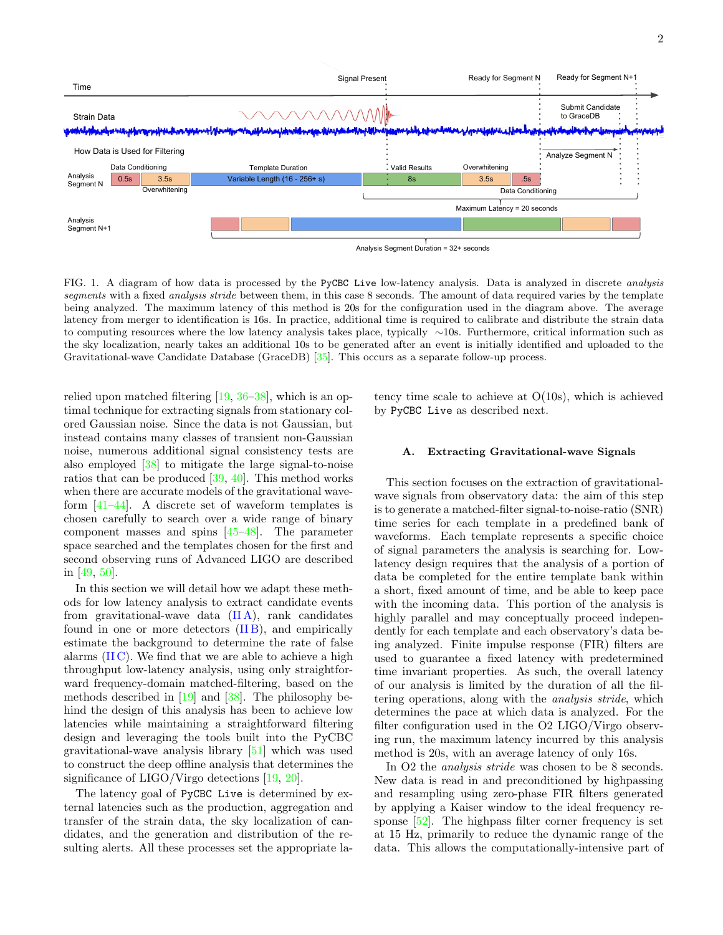

<span id="page-1-1"></span>FIG. 1. A diagram of how data is processed by the PyCBC Live low-latency analysis. Data is analyzed in discrete *analysis* segments with a fixed *analysis stride* between them, in this case 8 seconds. The amount of data required varies by the template being analyzed. The maximum latency of this method is 20s for the configuration used in the diagram above. The average latency from merger to identification is 16s. In practice, additional time is required to calibrate and distribute the strain data to computing resources where the low latency analysis takes place, typically ∼10s. Furthermore, critical information such as the sky localization, nearly takes an additional 10s to be generated after an event is initially identified and uploaded to the Gravitational-wave Candidate Database (GraceDB) [\[35\]](#page-9-5). This occurs as a separate follow-up process.

relied upon matched filtering [\[19,](#page-8-12) [36](#page-9-6)[–38\]](#page-9-7), which is an optimal technique for extracting signals from stationary colored Gaussian noise. Since the data is not Gaussian, but instead contains many classes of transient non-Gaussian noise, numerous additional signal consistency tests are also employed [\[38\]](#page-9-7) to mitigate the large signal-to-noise ratios that can be produced [\[39,](#page-9-8) [40\]](#page-9-9). This method works when there are accurate models of the gravitational waveform [\[41–](#page-9-10)[44\]](#page-9-11). A discrete set of waveform templates is chosen carefully to search over a wide range of binary component masses and spins [\[45–](#page-9-12)[48\]](#page-9-13). The parameter space searched and the templates chosen for the first and second observing runs of Advanced LIGO are described in [\[49,](#page-9-14) [50\]](#page-9-15).

In this section we will detail how we adapt these methods for low latency analysis to extract candidate events from gravitational-wave data  $(II A)$ , rank candidates found in one or more detectors  $(IIB)$ , and empirically estimate the background to determine the rate of false alarms  $(II C)$ . We find that we are able to achieve a high throughput low-latency analysis, using only straightforward frequency-domain matched-filtering, based on the methods described in [\[19\]](#page-8-12) and [\[38\]](#page-9-7). The philosophy behind the design of this analysis has been to achieve low latencies while maintaining a straightforward filtering design and leveraging the tools built into the PyCBC gravitational-wave analysis library [\[51\]](#page-9-16) which was used to construct the deep offline analysis that determines the significance of LIGO/Virgo detections [\[19,](#page-8-12) [20\]](#page-8-19).

The latency goal of PyCBC Live is determined by external latencies such as the production, aggregation and transfer of the strain data, the sky localization of candidates, and the generation and distribution of the resulting alerts. All these processes set the appropriate la-

tency time scale to achieve at O(10s), which is achieved by PyCBC Live as described next.

### <span id="page-1-0"></span>A. Extracting Gravitational-wave Signals

This section focuses on the extraction of gravitationalwave signals from observatory data: the aim of this step is to generate a matched-filter signal-to-noise-ratio (SNR) time series for each template in a predefined bank of waveforms. Each template represents a specific choice of signal parameters the analysis is searching for. Lowlatency design requires that the analysis of a portion of data be completed for the entire template bank within a short, fixed amount of time, and be able to keep pace with the incoming data. This portion of the analysis is highly parallel and may conceptually proceed independently for each template and each observatory's data being analyzed. Finite impulse response (FIR) filters are used to guarantee a fixed latency with predetermined time invariant properties. As such, the overall latency of our analysis is limited by the duration of all the filtering operations, along with the analysis stride, which determines the pace at which data is analyzed. For the filter configuration used in the O2 LIGO/Virgo observing run, the maximum latency incurred by this analysis method is 20s, with an average latency of only 16s.

In O2 the *analysis stride* was chosen to be 8 seconds. New data is read in and preconditioned by highpassing and resampling using zero-phase FIR filters generated by applying a Kaiser window to the ideal frequency response [\[52\]](#page-9-17). The highpass filter corner frequency is set at 15 Hz, primarily to reduce the dynamic range of the data. This allows the computationally-intensive part of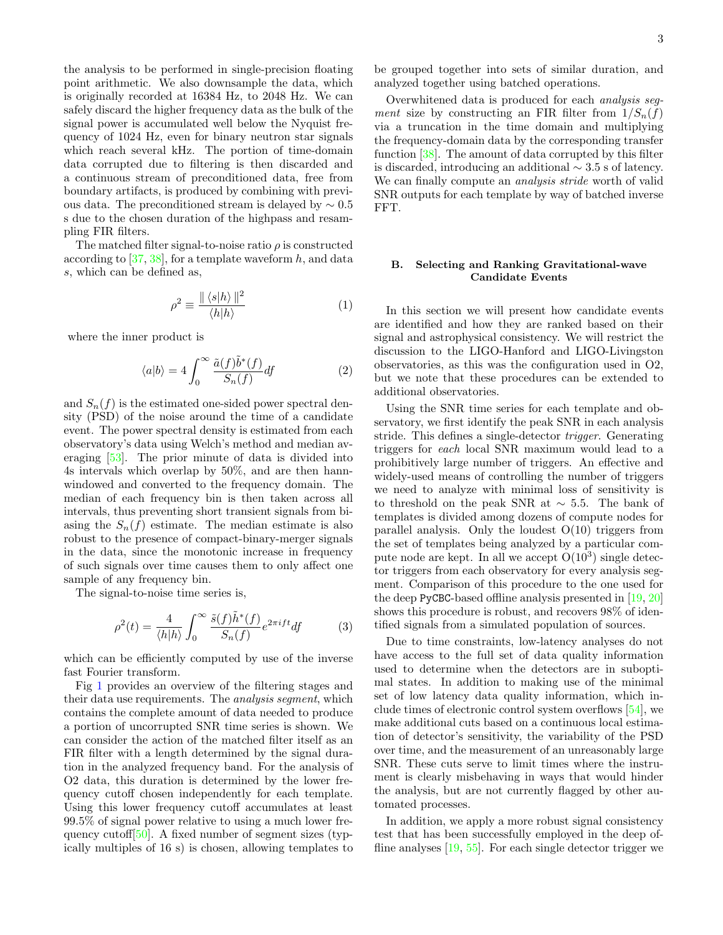the analysis to be performed in single-precision floating point arithmetic. We also downsample the data, which is originally recorded at 16384 Hz, to 2048 Hz. We can safely discard the higher frequency data as the bulk of the signal power is accumulated well below the Nyquist frequency of 1024 Hz, even for binary neutron star signals which reach several kHz. The portion of time-domain data corrupted due to filtering is then discarded and a continuous stream of preconditioned data, free from boundary artifacts, is produced by combining with previous data. The preconditioned stream is delayed by  $\sim 0.5$ s due to the chosen duration of the highpass and resampling FIR filters.

The matched filter signal-to-noise ratio  $\rho$  is constructed according to  $[37, 38]$  $[37, 38]$  $[37, 38]$ , for a template waveform h, and data s, which can be defined as,

$$
\rho^2 \equiv \frac{\| \langle s | h \rangle \|^2}{\langle h | h \rangle} \tag{1}
$$

where the inner product is

$$
\langle a|b\rangle = 4 \int_0^\infty \frac{\tilde{a}(f)\tilde{b}^*(f)}{S_n(f)} df \tag{2}
$$

and  $S_n(f)$  is the estimated one-sided power spectral density (PSD) of the noise around the time of a candidate event. The power spectral density is estimated from each observatory's data using Welch's method and median averaging [\[53\]](#page-9-19). The prior minute of data is divided into 4s intervals which overlap by 50%, and are then hannwindowed and converted to the frequency domain. The median of each frequency bin is then taken across all intervals, thus preventing short transient signals from biasing the  $S_n(f)$  estimate. The median estimate is also robust to the presence of compact-binary-merger signals in the data, since the monotonic increase in frequency of such signals over time causes them to only affect one sample of any frequency bin.

The signal-to-noise time series is,

$$
\rho^2(t) = \frac{4}{\langle h|h\rangle} \int_0^\infty \frac{\tilde{s}(f)\tilde{h}^*(f)}{S_n(f)} e^{2\pi i f t} df \tag{3}
$$

which can be efficiently computed by use of the inverse fast Fourier transform.

Fig [1](#page-1-1) provides an overview of the filtering stages and their data use requirements. The analysis segment, which contains the complete amount of data needed to produce a portion of uncorrupted SNR time series is shown. We can consider the action of the matched filter itself as an FIR filter with a length determined by the signal duration in the analyzed frequency band. For the analysis of O2 data, this duration is determined by the lower frequency cutoff chosen independently for each template. Using this lower frequency cutoff accumulates at least 99.5% of signal power relative to using a much lower fre-quency cutoff<sup>[\[50\]](#page-9-15)</sup>. A fixed number of segment sizes (typically multiples of 16 s) is chosen, allowing templates to

be grouped together into sets of similar duration, and analyzed together using batched operations.

Overwhitened data is produced for each analysis segment size by constructing an FIR filter from  $1/S_n(f)$ via a truncation in the time domain and multiplying the frequency-domain data by the corresponding transfer function [\[38\]](#page-9-7). The amount of data corrupted by this filter is discarded, introducing an additional ∼ 3.5 s of latency. We can finally compute an *analysis stride* worth of valid SNR outputs for each template by way of batched inverse FFT.

# <span id="page-2-0"></span>B. Selecting and Ranking Gravitational-wave Candidate Events

In this section we will present how candidate events are identified and how they are ranked based on their signal and astrophysical consistency. We will restrict the discussion to the LIGO-Hanford and LIGO-Livingston observatories, as this was the configuration used in O2, but we note that these procedures can be extended to additional observatories.

Using the SNR time series for each template and observatory, we first identify the peak SNR in each analysis stride. This defines a single-detector trigger. Generating triggers for each local SNR maximum would lead to a prohibitively large number of triggers. An effective and widely-used means of controlling the number of triggers we need to analyze with minimal loss of sensitivity is to threshold on the peak SNR at  $\sim$  5.5. The bank of templates is divided among dozens of compute nodes for parallel analysis. Only the loudest  $O(10)$  triggers from the set of templates being analyzed by a particular compute node are kept. In all we accept  $O(10^3)$  single detector triggers from each observatory for every analysis segment. Comparison of this procedure to the one used for the deep PyCBC-based offline analysis presented in [\[19,](#page-8-12) [20\]](#page-8-19) shows this procedure is robust, and recovers 98% of identified signals from a simulated population of sources.

Due to time constraints, low-latency analyses do not have access to the full set of data quality information used to determine when the detectors are in suboptimal states. In addition to making use of the minimal set of low latency data quality information, which include times of electronic control system overflows [\[54\]](#page-9-20), we make additional cuts based on a continuous local estimation of detector's sensitivity, the variability of the PSD over time, and the measurement of an unreasonably large SNR. These cuts serve to limit times where the instrument is clearly misbehaving in ways that would hinder the analysis, but are not currently flagged by other automated processes.

In addition, we apply a more robust signal consistency test that has been successfully employed in the deep offline analyses [\[19,](#page-8-12) [55\]](#page-9-21). For each single detector trigger we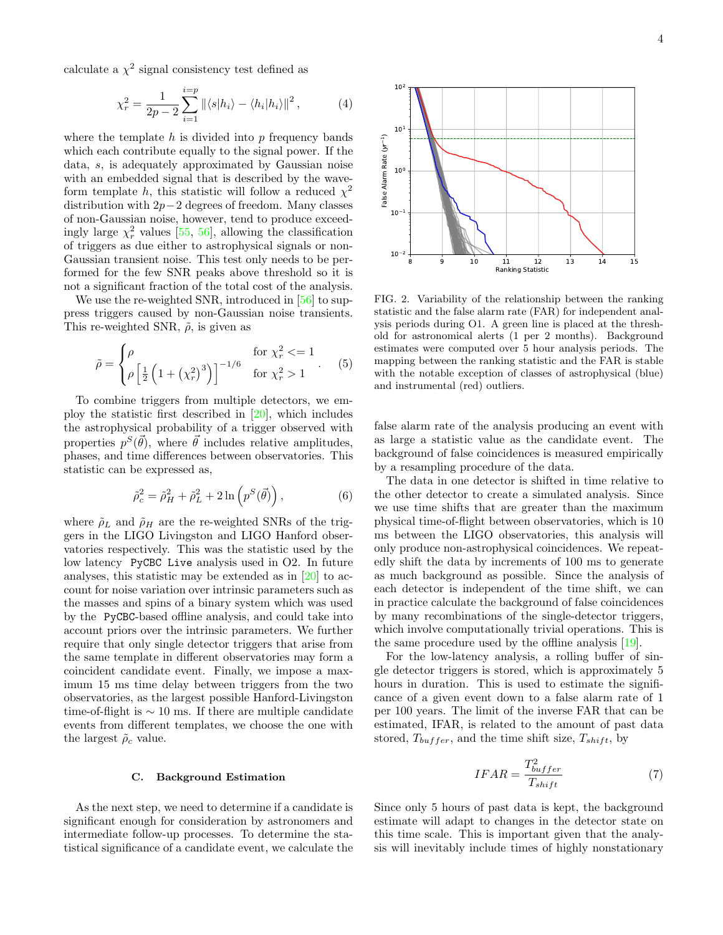calculate a  $\chi^2$  signal consistency test defined as

$$
\chi_r^2 = \frac{1}{2p - 2} \sum_{i=1}^{i=p} ||\langle s|h_i \rangle - \langle h_i|h_i \rangle||^2, \tag{4}
$$

where the template  $h$  is divided into  $p$  frequency bands which each contribute equally to the signal power. If the data, s, is adequately approximated by Gaussian noise with an embedded signal that is described by the waveform template h, this statistic will follow a reduced  $\chi^2$ distribution with 2p−2 degrees of freedom. Many classes of non-Gaussian noise, however, tend to produce exceedingly large  $\chi^2_r$  values [\[55,](#page-9-21) [56\]](#page-9-22), allowing the classification of triggers as due either to astrophysical signals or non-Gaussian transient noise. This test only needs to be performed for the few SNR peaks above threshold so it is not a significant fraction of the total cost of the analysis.

We use the re-weighted SNR, introduced in [\[56\]](#page-9-22) to suppress triggers caused by non-Gaussian noise transients. This re-weighted SNR,  $\tilde{\rho}$ , is given as

$$
\tilde{\rho} = \begin{cases} \rho & \text{for } \chi_r^2 < = 1 \\ \rho \left[ \frac{1}{2} \left( 1 + \left( \chi_r^2 \right)^3 \right) \right]^{-1/6} & \text{for } \chi_r^2 > 1 \end{cases} . \tag{5}
$$

To combine triggers from multiple detectors, we employ the statistic first described in [\[20\]](#page-8-19), which includes the astrophysical probability of a trigger observed with properties  $p^{S}(\vec{\theta})$ , where  $\vec{\theta}$  includes relative amplitudes, phases, and time differences between observatories. This statistic can be expressed as,

$$
\tilde{\rho}_c^2 = \tilde{\rho}_H^2 + \tilde{\rho}_L^2 + 2\ln\left(p^S(\vec{\theta})\right),\tag{6}
$$

where  $\rho_L$  and  $\rho_H$  are the re-weighted SNRs of the triggers in the LIGO Livingston and LIGO Hanford observatories respectively. This was the statistic used by the low latency PyCBC Live analysis used in O2. In future analyses, this statistic may be extended as in [\[20\]](#page-8-19) to account for noise variation over intrinsic parameters such as the masses and spins of a binary system which was used by the PyCBC-based offline analysis, and could take into account priors over the intrinsic parameters. We further require that only single detector triggers that arise from the same template in different observatories may form a coincident candidate event. Finally, we impose a maximum 15 ms time delay between triggers from the two observatories, as the largest possible Hanford-Livingston time-of-flight is  $\sim$  10 ms. If there are multiple candidate events from different templates, we choose the one with the largest  $\rho_c$  value.

### <span id="page-3-0"></span>C. Background Estimation

As the next step, we need to determine if a candidate is significant enough for consideration by astronomers and intermediate follow-up processes. To determine the statistical significance of a candidate event, we calculate the



<span id="page-3-1"></span>FIG. 2. Variability of the relationship between the ranking statistic and the false alarm rate (FAR) for independent analysis periods during O1. A green line is placed at the threshold for astronomical alerts (1 per 2 months). Background estimates were computed over 5 hour analysis periods. The mapping between the ranking statistic and the FAR is stable with the notable exception of classes of astrophysical (blue) and instrumental (red) outliers.

false alarm rate of the analysis producing an event with as large a statistic value as the candidate event. The background of false coincidences is measured empirically by a resampling procedure of the data.

The data in one detector is shifted in time relative to the other detector to create a simulated analysis. Since we use time shifts that are greater than the maximum physical time-of-flight between observatories, which is 10 ms between the LIGO observatories, this analysis will only produce non-astrophysical coincidences. We repeatedly shift the data by increments of 100 ms to generate as much background as possible. Since the analysis of each detector is independent of the time shift, we can in practice calculate the background of false coincidences by many recombinations of the single-detector triggers, which involve computationally trivial operations. This is the same procedure used by the offline analysis [\[19\]](#page-8-12).

For the low-latency analysis, a rolling buffer of single detector triggers is stored, which is approximately 5 hours in duration. This is used to estimate the significance of a given event down to a false alarm rate of 1 per 100 years. The limit of the inverse FAR that can be estimated, IFAR, is related to the amount of past data stored,  $T_{buffer}$ , and the time shift size,  $T_{shift}$ , by

$$
IFAR = \frac{T_{buffer}^2}{T_{shift}} \tag{7}
$$

Since only 5 hours of past data is kept, the background estimate will adapt to changes in the detector state on this time scale. This is important given that the analysis will inevitably include times of highly nonstationary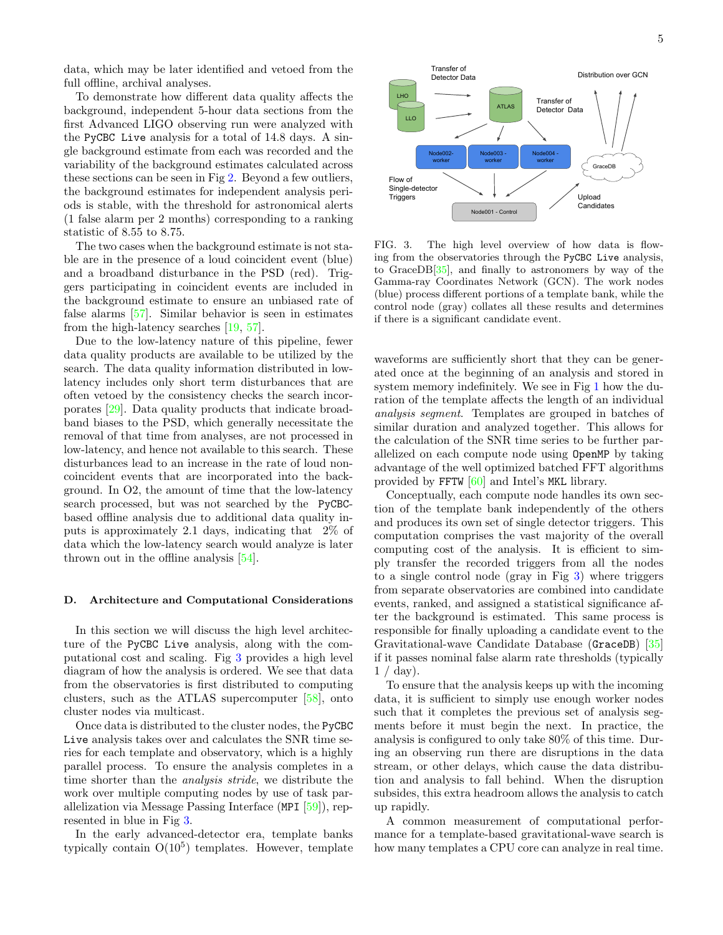data, which may be later identified and vetoed from the full offline, archival analyses.

To demonstrate how different data quality affects the background, independent 5-hour data sections from the first Advanced LIGO observing run were analyzed with the PyCBC Live analysis for a total of 14.8 days. A single background estimate from each was recorded and the variability of the background estimates calculated across these sections can be seen in Fig [2.](#page-3-1) Beyond a few outliers, the background estimates for independent analysis periods is stable, with the threshold for astronomical alerts (1 false alarm per 2 months) corresponding to a ranking statistic of 8.55 to 8.75.

The two cases when the background estimate is not stable are in the presence of a loud coincident event (blue) and a broadband disturbance in the PSD (red). Triggers participating in coincident events are included in the background estimate to ensure an unbiased rate of false alarms [\[57\]](#page-9-23). Similar behavior is seen in estimates from the high-latency searches [\[19,](#page-8-12) [57\]](#page-9-23).

Due to the low-latency nature of this pipeline, fewer data quality products are available to be utilized by the search. The data quality information distributed in lowlatency includes only short term disturbances that are often vetoed by the consistency checks the search incorporates [\[29\]](#page-8-21). Data quality products that indicate broadband biases to the PSD, which generally necessitate the removal of that time from analyses, are not processed in low-latency, and hence not available to this search. These disturbances lead to an increase in the rate of loud noncoincident events that are incorporated into the background. In O2, the amount of time that the low-latency search processed, but was not searched by the PyCBCbased offline analysis due to additional data quality inputs is approximately 2.1 days, indicating that 2% of data which the low-latency search would analyze is later thrown out in the offline analysis [\[54\]](#page-9-20).

### D. Architecture and Computational Considerations

In this section we will discuss the high level architecture of the PyCBC Live analysis, along with the computational cost and scaling. Fig [3](#page-4-0) provides a high level diagram of how the analysis is ordered. We see that data from the observatories is first distributed to computing clusters, such as the ATLAS supercomputer [\[58\]](#page-9-24), onto cluster nodes via multicast.

Once data is distributed to the cluster nodes, the PyCBC Live analysis takes over and calculates the SNR time series for each template and observatory, which is a highly parallel process. To ensure the analysis completes in a time shorter than the analysis stride, we distribute the work over multiple computing nodes by use of task parallelization via Message Passing Interface (MPI [\[59\]](#page-9-25)), represented in blue in Fig [3.](#page-4-0)

In the early advanced-detector era, template banks typically contain  $O(10^5)$  templates. However, template



<span id="page-4-0"></span>FIG. 3. The high level overview of how data is flowing from the observatories through the PyCBC Live analysis, to GraceDB[\[35\]](#page-9-5), and finally to astronomers by way of the Gamma-ray Coordinates Network (GCN). The work nodes (blue) process different portions of a template bank, while the control node (gray) collates all these results and determines if there is a significant candidate event.

waveforms are sufficiently short that they can be generated once at the beginning of an analysis and stored in system memory indefinitely. We see in Fig [1](#page-1-1) how the duration of the template affects the length of an individual analysis segment. Templates are grouped in batches of similar duration and analyzed together. This allows for the calculation of the SNR time series to be further parallelized on each compute node using OpenMP by taking advantage of the well optimized batched FFT algorithms provided by FFTW [\[60\]](#page-9-26) and Intel's MKL library.

Conceptually, each compute node handles its own section of the template bank independently of the others and produces its own set of single detector triggers. This computation comprises the vast majority of the overall computing cost of the analysis. It is efficient to simply transfer the recorded triggers from all the nodes to a single control node (gray in Fig [3\)](#page-4-0) where triggers from separate observatories are combined into candidate events, ranked, and assigned a statistical significance after the background is estimated. This same process is responsible for finally uploading a candidate event to the Gravitational-wave Candidate Database (GraceDB) [\[35\]](#page-9-5) if it passes nominal false alarm rate thresholds (typically  $1 / day$ ).

To ensure that the analysis keeps up with the incoming data, it is sufficient to simply use enough worker nodes such that it completes the previous set of analysis segments before it must begin the next. In practice, the analysis is configured to only take 80% of this time. During an observing run there are disruptions in the data stream, or other delays, which cause the data distribution and analysis to fall behind. When the disruption subsides, this extra headroom allows the analysis to catch up rapidly.

A common measurement of computational performance for a template-based gravitational-wave search is how many templates a CPU core can analyze in real time.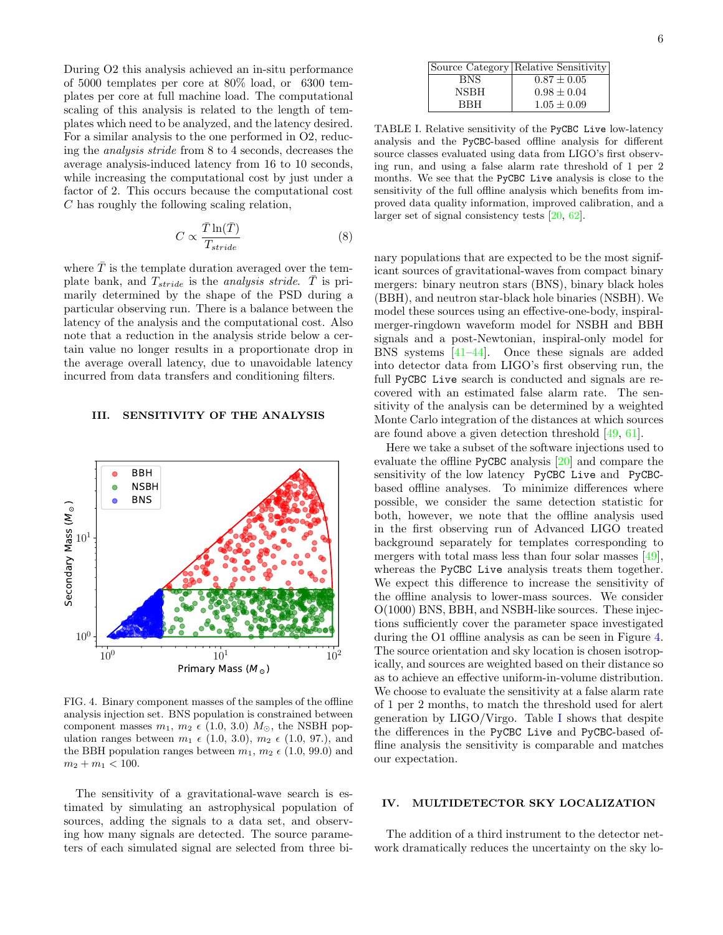During O2 this analysis achieved an in-situ performance of 5000 templates per core at 80% load, or 6300 templates per core at full machine load. The computational scaling of this analysis is related to the length of templates which need to be analyzed, and the latency desired. For a similar analysis to the one performed in O2, reducing the analysis stride from 8 to 4 seconds, decreases the average analysis-induced latency from 16 to 10 seconds, while increasing the computational cost by just under a factor of 2. This occurs because the computational cost C has roughly the following scaling relation,

$$
C \propto \frac{\bar{T} \ln(\bar{T})}{T_{stride}} \tag{8}
$$

where  $\overline{T}$  is the template duration averaged over the template bank, and  $T_{\text{stride}}$  is the *analysis stride*.  $\overline{T}$  is primarily determined by the shape of the PSD during a particular observing run. There is a balance between the latency of the analysis and the computational cost. Also note that a reduction in the analysis stride below a certain value no longer results in a proportionate drop in the average overall latency, due to unavoidable latency incurred from data transfers and conditioning filters.

### <span id="page-5-2"></span>III. SENSITIVITY OF THE ANALYSIS



<span id="page-5-0"></span>FIG. 4. Binary component masses of the samples of the offline analysis injection set. BNS population is constrained between component masses  $m_1, m_2 \in (1.0, 3.0)$   $M_{\odot}$ , the NSBH population ranges between  $m_1 \epsilon$  (1.0, 3.0),  $m_2 \epsilon$  (1.0, 97.), and the BBH population ranges between  $m_1$ ,  $m_2 \in (1.0, 99.0)$  and  $m_2 + m_1 < 100$ .

The sensitivity of a gravitational-wave search is estimated by simulating an astrophysical population of sources, adding the signals to a data set, and observing how many signals are detected. The source parameters of each simulated signal are selected from three bi-

<span id="page-5-1"></span>TABLE I. Relative sensitivity of the PyCBC Live low-latency analysis and the PyCBC-based offline analysis for different source classes evaluated using data from LIGO's first observing run, and using a false alarm rate threshold of 1 per 2 months. We see that the PyCBC Live analysis is close to the sensitivity of the full offline analysis which benefits from improved data quality information, improved calibration, and a larger set of signal consistency tests [\[20,](#page-8-19) [62\]](#page-9-27).

nary populations that are expected to be the most significant sources of gravitational-waves from compact binary mergers: binary neutron stars (BNS), binary black holes (BBH), and neutron star-black hole binaries (NSBH). We model these sources using an effective-one-body, inspiralmerger-ringdown waveform model for NSBH and BBH signals and a post-Newtonian, inspiral-only model for BNS systems [\[41–](#page-9-10)[44\]](#page-9-11). Once these signals are added into detector data from LIGO's first observing run, the full PyCBC Live search is conducted and signals are recovered with an estimated false alarm rate. The sensitivity of the analysis can be determined by a weighted Monte Carlo integration of the distances at which sources are found above a given detection threshold [\[49,](#page-9-14) [61\]](#page-9-28).

Here we take a subset of the software injections used to evaluate the offline PyCBC analysis [\[20\]](#page-8-19) and compare the sensitivity of the low latency PyCBC Live and PyCBCbased offline analyses. To minimize differences where possible, we consider the same detection statistic for both, however, we note that the offline analysis used in the first observing run of Advanced LIGO treated background separately for templates corresponding to mergers with total mass less than four solar masses [\[49\]](#page-9-14), whereas the PyCBC Live analysis treats them together. We expect this difference to increase the sensitivity of the offline analysis to lower-mass sources. We consider O(1000) BNS, BBH, and NSBH-like sources. These injections sufficiently cover the parameter space investigated during the O1 offline analysis as can be seen in Figure [4.](#page-5-0) The source orientation and sky location is chosen isotropically, and sources are weighted based on their distance so as to achieve an effective uniform-in-volume distribution. We choose to evaluate the sensitivity at a false alarm rate of 1 per 2 months, to match the threshold used for alert generation by LIGO/Virgo. Table [I](#page-5-1) shows that despite the differences in the PyCBC Live and PyCBC-based offline analysis the sensitivity is comparable and matches our expectation.

# IV. MULTIDETECTOR SKY LOCALIZATION

The addition of a third instrument to the detector network dramatically reduces the uncertainty on the sky lo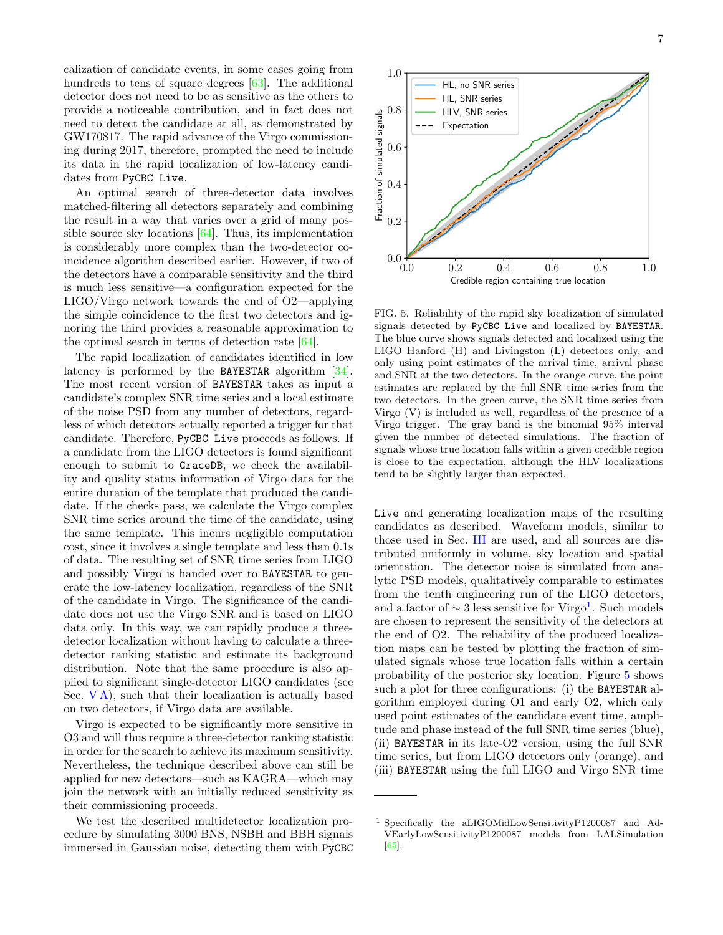calization of candidate events, in some cases going from hundreds to tens of square degrees [\[63\]](#page-9-29). The additional detector does not need to be as sensitive as the others to provide a noticeable contribution, and in fact does not need to detect the candidate at all, as demonstrated by GW170817. The rapid advance of the Virgo commissioning during 2017, therefore, prompted the need to include its data in the rapid localization of low-latency candidates from PyCBC Live.

An optimal search of three-detector data involves matched-filtering all detectors separately and combining the result in a way that varies over a grid of many possible source sky locations [\[64\]](#page-9-30). Thus, its implementation is considerably more complex than the two-detector coincidence algorithm described earlier. However, if two of the detectors have a comparable sensitivity and the third is much less sensitive—a configuration expected for the LIGO/Virgo network towards the end of O2—applying the simple coincidence to the first two detectors and ignoring the third provides a reasonable approximation to the optimal search in terms of detection rate [\[64\]](#page-9-30).

The rapid localization of candidates identified in low latency is performed by the BAYESTAR algorithm [\[34\]](#page-9-4). The most recent version of BAYESTAR takes as input a candidate's complex SNR time series and a local estimate of the noise PSD from any number of detectors, regardless of which detectors actually reported a trigger for that candidate. Therefore, PyCBC Live proceeds as follows. If a candidate from the LIGO detectors is found significant enough to submit to GraceDB, we check the availability and quality status information of Virgo data for the entire duration of the template that produced the candidate. If the checks pass, we calculate the Virgo complex SNR time series around the time of the candidate, using the same template. This incurs negligible computation cost, since it involves a single template and less than 0.1s of data. The resulting set of SNR time series from LIGO and possibly Virgo is handed over to BAYESTAR to generate the low-latency localization, regardless of the SNR of the candidate in Virgo. The significance of the candidate does not use the Virgo SNR and is based on LIGO data only. In this way, we can rapidly produce a threedetector localization without having to calculate a threedetector ranking statistic and estimate its background distribution. Note that the same procedure is also applied to significant single-detector LIGO candidates (see Sec.  $VA$ ), such that their localization is actually based on two detectors, if Virgo data are available.

Virgo is expected to be significantly more sensitive in O3 and will thus require a three-detector ranking statistic in order for the search to achieve its maximum sensitivity. Nevertheless, the technique described above can still be applied for new detectors—such as KAGRA—which may join the network with an initially reduced sensitivity as their commissioning proceeds.

We test the described multidetector localization procedure by simulating 3000 BNS, NSBH and BBH signals immersed in Gaussian noise, detecting them with PyCBC



<span id="page-6-1"></span>FIG. 5. Reliability of the rapid sky localization of simulated signals detected by PyCBC Live and localized by BAYESTAR. The blue curve shows signals detected and localized using the LIGO Hanford (H) and Livingston (L) detectors only, and only using point estimates of the arrival time, arrival phase and SNR at the two detectors. In the orange curve, the point estimates are replaced by the full SNR time series from the two detectors. In the green curve, the SNR time series from Virgo (V) is included as well, regardless of the presence of a Virgo trigger. The gray band is the binomial 95% interval given the number of detected simulations. The fraction of signals whose true location falls within a given credible region is close to the expectation, although the HLV localizations tend to be slightly larger than expected.

Live and generating localization maps of the resulting candidates as described. Waveform models, similar to those used in Sec. [III](#page-5-2) are used, and all sources are distributed uniformly in volume, sky location and spatial orientation. The detector noise is simulated from analytic PSD models, qualitatively comparable to estimates from the tenth engineering run of the LIGO detectors, and a factor of  $\sim 3$  less sensitive for Virgo<sup>[1](#page-6-0)</sup>. Such models are chosen to represent the sensitivity of the detectors at the end of O2. The reliability of the produced localization maps can be tested by plotting the fraction of simulated signals whose true location falls within a certain probability of the posterior sky location. Figure [5](#page-6-1) shows such a plot for three configurations: (i) the BAYESTAR algorithm employed during O1 and early O2, which only used point estimates of the candidate event time, amplitude and phase instead of the full SNR time series (blue), (ii) BAYESTAR in its late-O2 version, using the full SNR time series, but from LIGO detectors only (orange), and (iii) BAYESTAR using the full LIGO and Virgo SNR time

<span id="page-6-0"></span><sup>1</sup> Specifically the aLIGOMidLowSensitivityP1200087 and Ad-VEarlyLowSensitivityP1200087 models from LALSimulation [\[65\]](#page-9-31).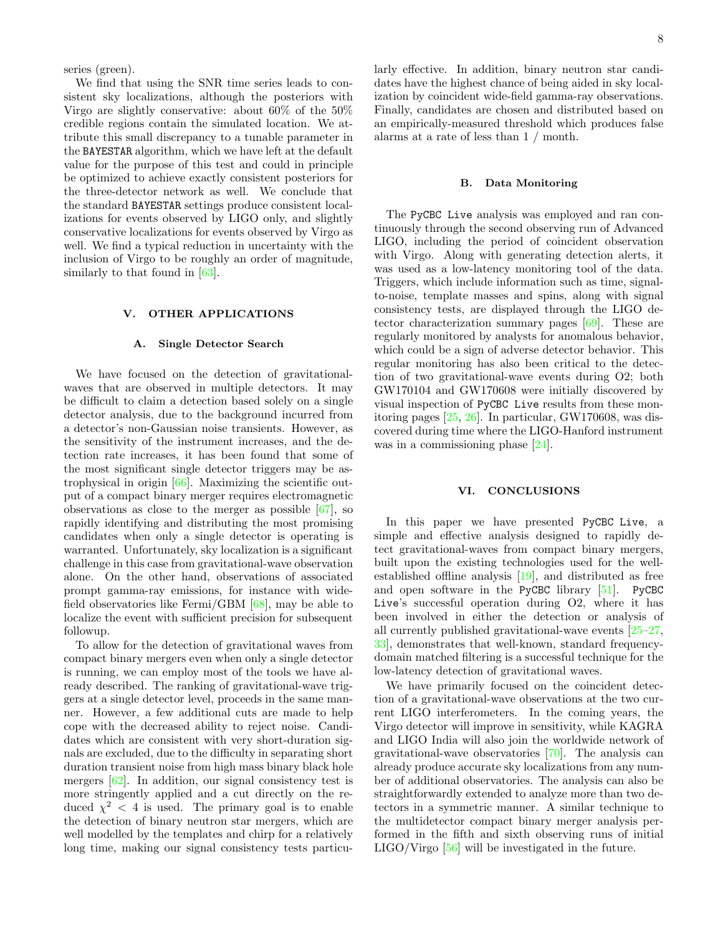series (green).

We find that using the SNR time series leads to consistent sky localizations, although the posteriors with Virgo are slightly conservative: about 60% of the 50% credible regions contain the simulated location. We attribute this small discrepancy to a tunable parameter in the BAYESTAR algorithm, which we have left at the default value for the purpose of this test and could in principle be optimized to achieve exactly consistent posteriors for the three-detector network as well. We conclude that the standard BAYESTAR settings produce consistent localizations for events observed by LIGO only, and slightly conservative localizations for events observed by Virgo as well. We find a typical reduction in uncertainty with the inclusion of Virgo to be roughly an order of magnitude, similarly to that found in  $[63]$ .

### V. OTHER APPLICATIONS

### <span id="page-7-0"></span>A. Single Detector Search

We have focused on the detection of gravitationalwaves that are observed in multiple detectors. It may be difficult to claim a detection based solely on a single detector analysis, due to the background incurred from a detector's non-Gaussian noise transients. However, as the sensitivity of the instrument increases, and the detection rate increases, it has been found that some of the most significant single detector triggers may be astrophysical in origin [\[66\]](#page-9-32). Maximizing the scientific output of a compact binary merger requires electromagnetic observations as close to the merger as possible  $[67]$ , so rapidly identifying and distributing the most promising candidates when only a single detector is operating is warranted. Unfortunately, sky localization is a significant challenge in this case from gravitational-wave observation alone. On the other hand, observations of associated prompt gamma-ray emissions, for instance with widefield observatories like Fermi/GBM [\[68\]](#page-9-34), may be able to localize the event with sufficient precision for subsequent followup.

To allow for the detection of gravitational waves from compact binary mergers even when only a single detector is running, we can employ most of the tools we have already described. The ranking of gravitational-wave triggers at a single detector level, proceeds in the same manner. However, a few additional cuts are made to help cope with the decreased ability to reject noise. Candidates which are consistent with very short-duration signals are excluded, due to the difficulty in separating short duration transient noise from high mass binary black hole mergers [\[62\]](#page-9-27). In addition, our signal consistency test is more stringently applied and a cut directly on the reduced  $\chi^2$  < 4 is used. The primary goal is to enable the detection of binary neutron star mergers, which are well modelled by the templates and chirp for a relatively long time, making our signal consistency tests particularly effective. In addition, binary neutron star candidates have the highest chance of being aided in sky localization by coincident wide-field gamma-ray observations. Finally, candidates are chosen and distributed based on an empirically-measured threshold which produces false alarms at a rate of less than 1 / month.

### B. Data Monitoring

The PyCBC Live analysis was employed and ran continuously through the second observing run of Advanced LIGO, including the period of coincident observation with Virgo. Along with generating detection alerts, it was used as a low-latency monitoring tool of the data. Triggers, which include information such as time, signalto-noise, template masses and spins, along with signal consistency tests, are displayed through the LIGO detector characterization summary pages [\[69\]](#page-9-35). These are regularly monitored by analysts for anomalous behavior, which could be a sign of adverse detector behavior. This regular monitoring has also been critical to the detection of two gravitational-wave events during O2; both GW170104 and GW170608 were initially discovered by visual inspection of PyCBC Live results from these monitoring pages [\[25,](#page-8-16) [26\]](#page-8-17). In particular, GW170608, was discovered during time where the LIGO-Hanford instrument was in a commissioning phase [\[24\]](#page-8-15).

### VI. CONCLUSIONS

In this paper we have presented PyCBC Live, a simple and effective analysis designed to rapidly detect gravitational-waves from compact binary mergers, built upon the existing technologies used for the wellestablished offline analysis [\[19\]](#page-8-12), and distributed as free and open software in the PyCBC library [\[51\]](#page-9-16). PyCBC Live's successful operation during O2, where it has been involved in either the detection or analysis of all currently published gravitational-wave events [\[25](#page-8-16)[–27,](#page-8-18) [33\]](#page-9-3), demonstrates that well-known, standard frequencydomain matched filtering is a successful technique for the low-latency detection of gravitational waves.

We have primarily focused on the coincident detection of a gravitational-wave observations at the two current LIGO interferometers. In the coming years, the Virgo detector will improve in sensitivity, while KAGRA and LIGO India will also join the worldwide network of gravitational-wave observatories [\[70\]](#page-9-36). The analysis can already produce accurate sky localizations from any number of additional observatories. The analysis can also be straightforwardly extended to analyze more than two detectors in a symmetric manner. A similar technique to the multidetector compact binary merger analysis performed in the fifth and sixth observing runs of initial LIGO/Virgo [\[56\]](#page-9-22) will be investigated in the future.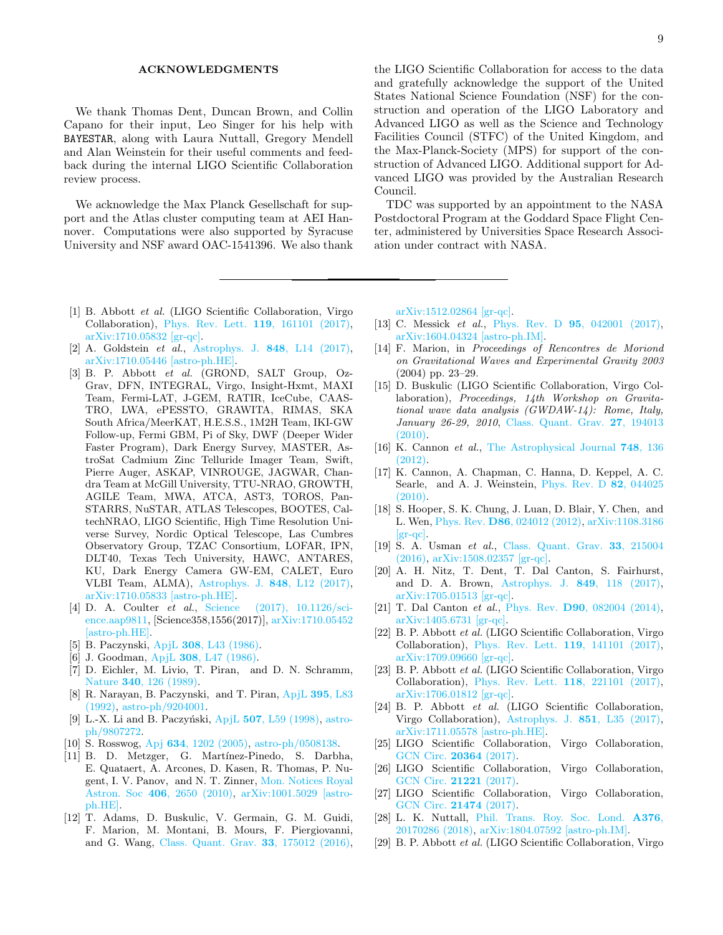## ACKNOWLEDGMENTS

We thank Thomas Dent, Duncan Brown, and Collin Capano for their input, Leo Singer for his help with BAYESTAR, along with Laura Nuttall, Gregory Mendell and Alan Weinstein for their useful comments and feedback during the internal LIGO Scientific Collaboration review process.

We acknowledge the Max Planck Gesellschaft for support and the Atlas cluster computing team at AEI Hannover. Computations were also supported by Syracuse University and NSF award OAC-1541396. We also thank

the LIGO Scientific Collaboration for access to the data and gratefully acknowledge the support of the United States National Science Foundation (NSF) for the construction and operation of the LIGO Laboratory and Advanced LIGO as well as the Science and Technology Facilities Council (STFC) of the United Kingdom, and the Max-Planck-Society (MPS) for support of the construction of Advanced LIGO. Additional support for Advanced LIGO was provided by the Australian Research Council.

TDC was supported by an appointment to the NASA Postdoctoral Program at the Goddard Space Flight Center, administered by Universities Space Research Association under contract with NASA.

- <span id="page-8-0"></span>[1] B. Abbott et al. (LIGO Scientific Collaboration, Virgo Collaboration), [Phys. Rev. Lett.](http://dx.doi.org/ 10.1103/PhysRevLett.119.161101) 119, 161101 (2017), [arXiv:1710.05832 \[gr-qc\].](http://arxiv.org/abs/1710.05832)
- <span id="page-8-1"></span>[2] A. Goldstein et al., [Astrophys. J.](http://dx.doi.org/10.3847/2041-8213/aa8f41) 848, L14 (2017), [arXiv:1710.05446 \[astro-ph.HE\].](http://arxiv.org/abs/1710.05446)
- <span id="page-8-2"></span>[3] B. P. Abbott et al. (GROND, SALT Group, Oz-Grav, DFN, INTEGRAL, Virgo, Insight-Hxmt, MAXI Team, Fermi-LAT, J-GEM, RATIR, IceCube, CAAS-TRO, LWA, ePESSTO, GRAWITA, RIMAS, SKA South Africa/MeerKAT, H.E.S.S., 1M2H Team, IKI-GW Follow-up, Fermi GBM, Pi of Sky, DWF (Deeper Wider Faster Program), Dark Energy Survey, MASTER, AstroSat Cadmium Zinc Telluride Imager Team, Swift, Pierre Auger, ASKAP, VINROUGE, JAGWAR, Chandra Team at McGill University, TTU-NRAO, GROWTH, AGILE Team, MWA, ATCA, AST3, TOROS, Pan-STARRS, NuSTAR, ATLAS Telescopes, BOOTES, CaltechNRAO, LIGO Scientific, High Time Resolution Universe Survey, Nordic Optical Telescope, Las Cumbres Observatory Group, TZAC Consortium, LOFAR, IPN, DLT40, Texas Tech University, HAWC, ANTARES, KU, Dark Energy Camera GW-EM, CALET, Euro VLBI Team, ALMA), [Astrophys. J.](http://dx.doi.org/10.3847/2041-8213/aa91c9) 848, L12 (2017), [arXiv:1710.05833 \[astro-ph.HE\].](http://arxiv.org/abs/1710.05833)
- <span id="page-8-3"></span>[4] D. A. Coulter et al., [Science \(2017\), 10.1126/sci](http://dx.doi.org/10.1126/science.aap9811)[ence.aap9811,](http://dx.doi.org/10.1126/science.aap9811) [Science358,1556(2017)], [arXiv:1710.05452](http://arxiv.org/abs/1710.05452) [\[astro-ph.HE\].](http://arxiv.org/abs/1710.05452)
- <span id="page-8-4"></span>[5] B. Paczynski, ApjL 308[, L43 \(1986\).](http://dx.doi.org/10.1086/184740)
- [6] J. Goodman, ApjL 308[, L47 \(1986\).](http://dx.doi.org/10.1086/184741)
- [7] D. Eichler, M. Livio, T. Piran, and D. N. Schramm, Nature 340[, 126 \(1989\).](http://dx.doi.org/10.1038/340126a0)
- <span id="page-8-5"></span>[8] R. Narayan, B. Paczynski, and T. Piran, [ApjL](http://dx.doi.org/10.1086/186493) 395, L83 [\(1992\),](http://dx.doi.org/10.1086/186493) [astro-ph/9204001.](http://arxiv.org/abs/astro-ph/9204001)
- <span id="page-8-6"></span>[9] L.-X. Li and B. Paczyński, ApjL  $507$ [, L59 \(1998\),](http://dx.doi.org/10.1086/311680) [astro](http://arxiv.org/abs/astro-ph/9807272)[ph/9807272.](http://arxiv.org/abs/astro-ph/9807272)
- [10] S. Rosswog, Apj 634[, 1202 \(2005\),](http://dx.doi.org/10.1086/497062) [astro-ph/0508138.](http://arxiv.org/abs/astro-ph/0508138)
- <span id="page-8-7"></span>[11] B. D. Metzger, G. Martínez-Pinedo, S. Darbha, E. Quataert, A. Arcones, D. Kasen, R. Thomas, P. Nugent, I. V. Panov, and N. T. Zinner, [Mon. Notices Royal](http://dx.doi.org/ 10.1111/j.1365-2966.2010.16864.x) Astron. Soc 406[, 2650 \(2010\),](http://dx.doi.org/ 10.1111/j.1365-2966.2010.16864.x) [arXiv:1001.5029 \[astro](http://arxiv.org/abs/1001.5029)[ph.HE\].](http://arxiv.org/abs/1001.5029)
- <span id="page-8-8"></span>[12] T. Adams, D. Buskulic, V. Germain, G. M. Guidi, F. Marion, M. Montani, B. Mours, F. Piergiovanni, and G. Wang, [Class. Quant. Grav.](http://dx.doi.org/10.1088/0264-9381/33/17/175012) 33, 175012 (2016),

[arXiv:1512.02864 \[gr-qc\].](http://arxiv.org/abs/1512.02864)

- <span id="page-8-10"></span>[13] C. Messick *et al.*, Phys. Rev. D **95**[, 042001 \(2017\),](http://dx.doi.org/10.1103/PhysRevD.95.042001) [arXiv:1604.04324 \[astro-ph.IM\].](http://arxiv.org/abs/1604.04324)
- [14] F. Marion, in Proceedings of Rencontres de Moriond on Gravitational Waves and Experimental Gravity 2003 (2004) pp. 23–29.
- [15] D. Buskulic (LIGO Scientific Collaboration, Virgo Collaboration), Proceedings, 14th Workshop on Gravitational wave data analysis (GWDAW-14): Rome, Italy, January 26-29, 2010, [Class. Quant. Grav.](http://dx.doi.org/ 10.1088/0264-9381/27/19/194013) 27, 194013 [\(2010\).](http://dx.doi.org/ 10.1088/0264-9381/27/19/194013)
- [16] K. Cannon et al., [The Astrophysical Journal](http://stacks.iop.org/0004-637X/748/i=2/a=136) 748, 136 [\(2012\).](http://stacks.iop.org/0004-637X/748/i=2/a=136)
- <span id="page-8-9"></span>[17] K. Cannon, A. Chapman, C. Hanna, D. Keppel, A. C. Searle, and A. J. Weinstein, [Phys. Rev. D](http://dx.doi.org/ 10.1103/PhysRevD.82.044025) 82, 044025  $(2010)$ .
- <span id="page-8-11"></span>[18] S. Hooper, S. K. Chung, J. Luan, D. Blair, Y. Chen, and L. Wen, Phys. Rev. D86[, 024012 \(2012\),](http://dx.doi.org/10.1103/PhysRevD.86.024012) [arXiv:1108.3186](http://arxiv.org/abs/1108.3186)  $|gr-qc|$ .
- <span id="page-8-12"></span>[19] S. A. Usman et al., [Class. Quant. Grav.](http://dx.doi.org/10.1088/0264-9381/33/21/215004) 33, 215004 [\(2016\),](http://dx.doi.org/10.1088/0264-9381/33/21/215004) [arXiv:1508.02357 \[gr-qc\].](http://arxiv.org/abs/1508.02357)
- <span id="page-8-19"></span>[20] A. H. Nitz, T. Dent, T. Dal Canton, S. Fairhurst, and D. A. Brown, [Astrophys. J.](http://dx.doi.org/ 10.3847/1538-4357/aa8f50) 849, 118 (2017), [arXiv:1705.01513 \[gr-qc\].](http://arxiv.org/abs/1705.01513)
- <span id="page-8-13"></span>[21] T. Dal Canton et al., Phys. Rev. D90[, 082004 \(2014\),](http://dx.doi.org/10.1103/PhysRevD.90.082004) [arXiv:1405.6731 \[gr-qc\].](http://arxiv.org/abs/1405.6731)
- <span id="page-8-14"></span>[22] B. P. Abbott et al. (LIGO Scientific Collaboration, Virgo Collaboration), [Phys. Rev. Lett.](http://dx.doi.org/ 10.1103/PhysRevLett.119.141101) 119, 141101 (2017), [arXiv:1709.09660 \[gr-qc\].](http://arxiv.org/abs/1709.09660)
- [23] B. P. Abbott et al. (LIGO Scientific Collaboration, Virgo Collaboration), [Phys. Rev. Lett.](http://dx.doi.org/ 10.1103/PhysRevLett.118.221101) 118, 221101 (2017), [arXiv:1706.01812 \[gr-qc\].](http://arxiv.org/abs/1706.01812)
- <span id="page-8-15"></span>[24] B. P. Abbott et al. (LIGO Scientific Collaboration, Virgo Collaboration), [Astrophys. J.](http://dx.doi.org/ 10.3847/2041-8213/aa9f0c) 851, L35 (2017), [arXiv:1711.05578 \[astro-ph.HE\].](http://arxiv.org/abs/1711.05578)
- <span id="page-8-16"></span>[25] LIGO Scientific Collaboration, Virgo Collaboration, [GCN Circ.](https://gcn.gsfc.nasa.gov/gcn3/20364.gcn3) 20364 (2017).
- <span id="page-8-17"></span>[26] LIGO Scientific Collaboration, Virgo Collaboration, [GCN Circ.](https://gcn.gsfc.nasa.gov/gcn3/21221.gcn3) 21221 (2017).
- <span id="page-8-18"></span>[27] LIGO Scientific Collaboration, Virgo Collaboration, [GCN Circ.](https://gcn.gsfc.nasa.gov/gcn3/21474.gcn3) 21474 (2017).
- <span id="page-8-20"></span>[28] L. K. Nuttall, [Phil. Trans. Roy. Soc. Lond.](http://dx.doi.org/10.1098/rsta.2017.0286) A376, [20170286 \(2018\),](http://dx.doi.org/10.1098/rsta.2017.0286) [arXiv:1804.07592 \[astro-ph.IM\].](http://arxiv.org/abs/1804.07592)
- <span id="page-8-21"></span>[29] B. P. Abbott et al. (LIGO Scientific Collaboration, Virgo